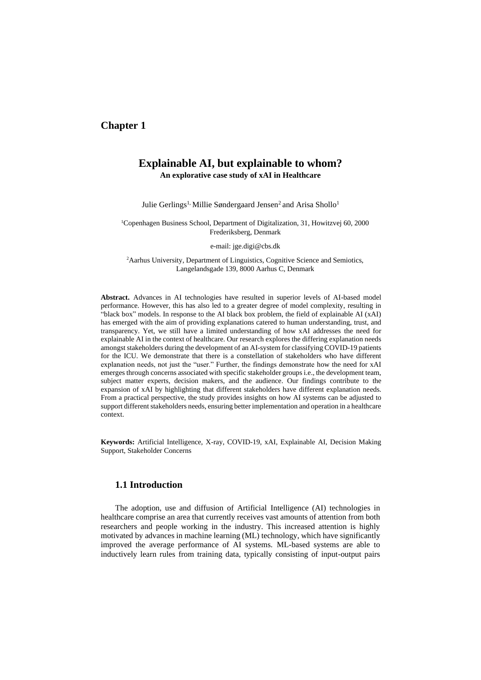# **Chapter 1**

# **Explainable AI, but explainable to whom? An explorative case study of xAI in Healthcare**

Julie Gerlings<sup>1,</sup> Millie Søndergaard Jensen<sup>2</sup> and Arisa Shollo<sup>1</sup>

<sup>1</sup>Copenhagen Business School, Department of Digitalization, 31, Howitzvej 60, 2000 Frederiksberg, Denmark

e-mail: jge.digi@cbs.dk

<sup>2</sup>Aarhus University, Department of Linguistics, Cognitive Science and Semiotics, Langelandsgade 139, 8000 Aarhus C, Denmark

**Abstract.** Advances in AI technologies have resulted in superior levels of AI-based model performance. However, this has also led to a greater degree of model complexity, resulting in "black box" models. In response to the AI black box problem, the field of explainable AI (xAI) has emerged with the aim of providing explanations catered to human understanding, trust, and transparency. Yet, we still have a limited understanding of how xAI addresses the need for explainable AI in the context of healthcare. Our research explores the differing explanation needs amongst stakeholders during the development of an AI-system for classifying COVID-19 patients for the ICU. We demonstrate that there is a constellation of stakeholders who have different explanation needs, not just the "user." Further, the findings demonstrate how the need for xAI emerges through concerns associated with specific stakeholder groups i.e., the development team, subject matter experts, decision makers, and the audience. Our findings contribute to the expansion of xAI by highlighting that different stakeholders have different explanation needs. From a practical perspective, the study provides insights on how AI systems can be adjusted to support different stakeholders needs, ensuring better implementation and operation in a healthcare context.

**Keywords:** Artificial Intelligence, X-ray, COVID-19, xAI, Explainable AI, Decision Making Support, Stakeholder Concerns

### **1.1 Introduction**

The adoption, use and diffusion of Artificial Intelligence (AI) technologies in healthcare comprise an area that currently receives vast amounts of attention from both researchers and people working in the industry. This increased attention is highly motivated by advances in machine learning (ML) technology, which have significantly improved the average performance of AI systems. ML-based systems are able to inductively learn rules from training data, typically consisting of input-output pairs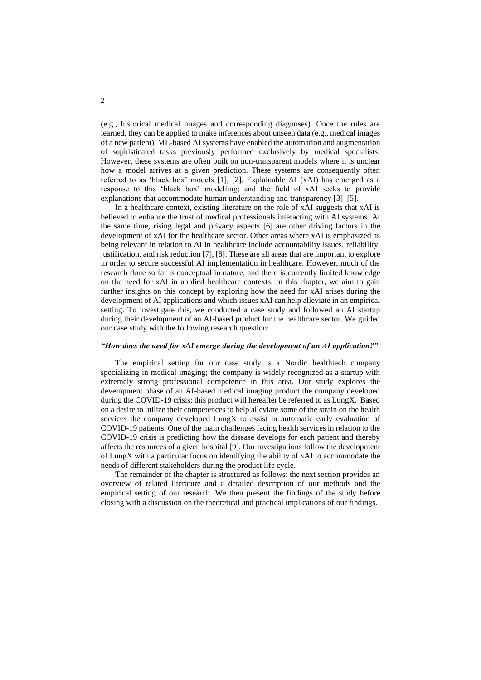(e.g., historical medical images and corresponding diagnoses). Once the rules are learned, they can be applied to make inferences about unseen data (e.g., medical images of a new patient). ML-based AI systems have enabled the automation and augmentation of sophisticated tasks previously performed exclusively by medical specialists. However, these systems are often built on non-transparent models where it is unclear how a model arrives at a given prediction. These systems are consequently often referred to as 'black box' models [1], [2]. Explainable AI (xAI) has emerged as a response to this 'black box' modelling; and the field of xAI seeks to provide explanations that accommodate human understanding and transparency [3]–[5].

In a healthcare context, existing literature on the role of xAI suggests that xAI is believed to enhance the trust of medical professionals interacting with AI systems. At the same time, rising legal and privacy aspects [6] are other driving factors in the development of xAI for the healthcare sector. Other areas where xAI is emphasized as being relevant in relation to AI in healthcare include accountability issues, reliability, justification, and risk reduction [7], [8]. These are all areas that are important to explore in order to secure successful AI implementation in healthcare. However, much of the research done so far is conceptual in nature, and there is currently limited knowledge on the need for xAI in applied healthcare contexts. In this chapter, we aim to gain further insights on this concept by exploring how the need for xAI arises during the development of AI applications and which issues xAI can help alleviate in an empirical setting. To investigate this, we conducted a case study and followed an AI startup during their development of an AI-based product for the healthcare sector. We guided our case study with the following research question:

#### *"How does the need for xAI emerge during the development of an AI application?"*

The empirical setting for our case study is a Nordic healthtech company specializing in medical imaging; the company is widely recognized as a startup with extremely strong professional competence in this area. Our study explores the development phase of an AI-based medical imaging product the company developed during the COVID-19 crisis; this product will hereafter be referred to as LungX. Based on a desire to utilize their competences to help alleviate some of the strain on the health services the company developed LungX to assist in automatic early evaluation of COVID-19 patients. One of the main challenges facing health services in relation to the COVID-19 crisis is predicting how the disease develops for each patient and thereby affects the resources of a given hospital [9]. Our investigations follow the development of LungX with a particular focus on identifying the ability of xAI to accommodate the needs of different stakeholders during the product life cycle.

The remainder of the chapter is structured as follows: the next section provides an overview of related literature and a detailed description of our methods and the empirical setting of our research. We then present the findings of the study before closing with a discussion on the theoretical and practical implications of our findings.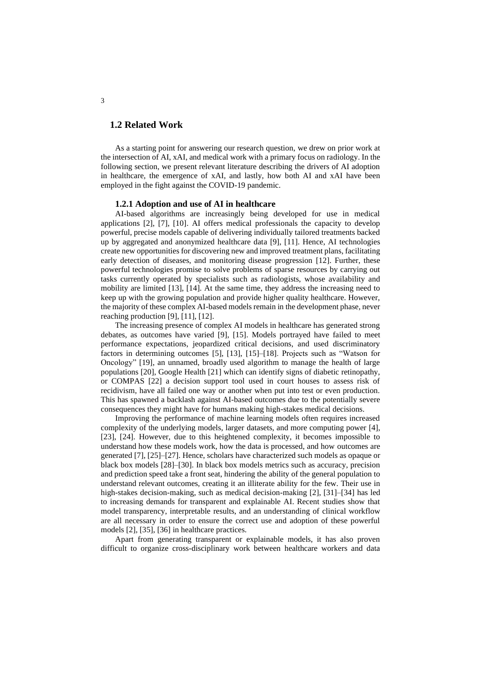## **1.2 Related Work**

As a starting point for answering our research question, we drew on prior work at the intersection of AI, xAI, and medical work with a primary focus on radiology. In the following section, we present relevant literature describing the drivers of AI adoption in healthcare, the emergence of xAI, and lastly, how both AI and xAI have been employed in the fight against the COVID-19 pandemic.

## **1.2.1 Adoption and use of AI in healthcare**

AI-based algorithms are increasingly being developed for use in medical applications [2], [7], [10]. AI offers medical professionals the capacity to develop powerful, precise models capable of delivering individually tailored treatments backed up by aggregated and anonymized healthcare data [9], [11]. Hence, AI technologies create new opportunities for discovering new and improved treatment plans, facilitating early detection of diseases, and monitoring disease progression [12]. Further, these powerful technologies promise to solve problems of sparse resources by carrying out tasks currently operated by specialists such as radiologists, whose availability and mobility are limited [13], [14]. At the same time, they address the increasing need to keep up with the growing population and provide higher quality healthcare. However, the majority of these complex AI-based models remain in the development phase, never reaching production [9], [11], [12].

The increasing presence of complex AI models in healthcare has generated strong debates, as outcomes have varied [9], [15]. Models portrayed have failed to meet performance expectations, jeopardized critical decisions, and used discriminatory factors in determining outcomes [5], [13], [15]–[18]. Projects such as "Watson for Oncology" [19], an unnamed, broadly used algorithm to manage the health of large populations [20], Google Health [21] which can identify signs of diabetic retinopathy, or COMPAS [22] a decision support tool used in court houses to assess risk of recidivism, have all failed one way or another when put into test or even production. This has spawned a backlash against AI-based outcomes due to the potentially severe consequences they might have for humans making high-stakes medical decisions.

Improving the performance of machine learning models often requires increased complexity of the underlying models, larger datasets, and more computing power [4], [23], [24]. However, due to this heightened complexity, it becomes impossible to understand how these models work, how the data is processed, and how outcomes are generated [7], [25]–[27]. Hence, scholars have characterized such models as opaque or black box models [28]–[30]. In black box models metrics such as accuracy, precision and prediction speed take a front seat, hindering the ability of the general population to understand relevant outcomes, creating it an illiterate ability for the few. Their use in high-stakes decision-making, such as medical decision-making [2], [31]–[34] has led to increasing demands for transparent and explainable AI. Recent studies show that model transparency, interpretable results, and an understanding of clinical workflow are all necessary in order to ensure the correct use and adoption of these powerful models [2], [35], [36] in healthcare practices.

Apart from generating transparent or explainable models, it has also proven difficult to organize cross-disciplinary work between healthcare workers and data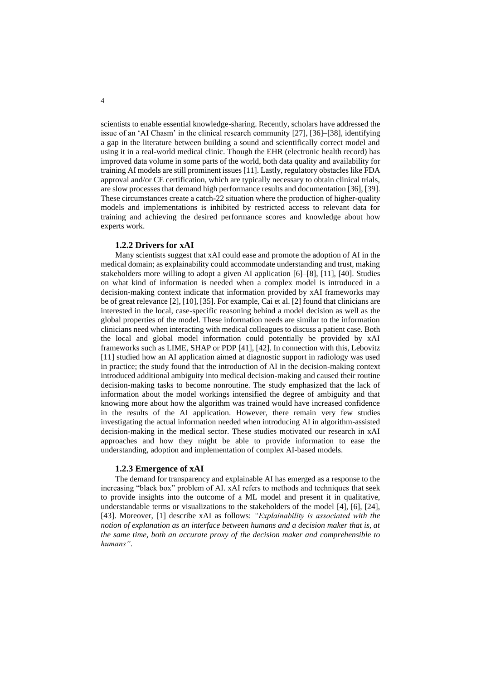scientists to enable essential knowledge-sharing. Recently, scholars have addressed the issue of an 'AI Chasm' in the clinical research community [27], [36]–[38], identifying a gap in the literature between building a sound and scientifically correct model and using it in a real-world medical clinic. Though the EHR (electronic health record) has improved data volume in some parts of the world, both data quality and availability for training AI models are still prominent issues [11]. Lastly, regulatory obstacles like FDA approval and/or CE certification, which are typically necessary to obtain clinical trials, are slow processes that demand high performance results and documentation [36], [39]. These circumstances create a catch-22 situation where the production of higher-quality models and implementations is inhibited by restricted access to relevant data for training and achieving the desired performance scores and knowledge about how experts work.

### **1.2.2 Drivers for xAI**

Many scientists suggest that xAI could ease and promote the adoption of AI in the medical domain; as explainability could accommodate understanding and trust, making stakeholders more willing to adopt a given AI application [6]–[8], [11], [40]. Studies on what kind of information is needed when a complex model is introduced in a decision-making context indicate that information provided by xAI frameworks may be of great relevance [2], [10], [35]. For example, Cai et al. [2] found that clinicians are interested in the local, case-specific reasoning behind a model decision as well as the global properties of the model. These information needs are similar to the information clinicians need when interacting with medical colleagues to discuss a patient case. Both the local and global model information could potentially be provided by xAI frameworks such as LIME, SHAP or PDP [41], [42]. In connection with this, Lebovitz [11] studied how an AI application aimed at diagnostic support in radiology was used in practice; the study found that the introduction of AI in the decision-making context introduced additional ambiguity into medical decision-making and caused their routine decision-making tasks to become nonroutine. The study emphasized that the lack of information about the model workings intensified the degree of ambiguity and that knowing more about how the algorithm was trained would have increased confidence in the results of the AI application. However, there remain very few studies investigating the actual information needed when introducing AI in algorithm-assisted decision-making in the medical sector. These studies motivated our research in xAI approaches and how they might be able to provide information to ease the understanding, adoption and implementation of complex AI-based models.

#### **1.2.3 Emergence of xAI**

The demand for transparency and explainable AI has emerged as a response to the increasing "black box" problem of AI. xAI refers to methods and techniques that seek to provide insights into the outcome of a ML model and present it in qualitative, understandable terms or visualizations to the stakeholders of the model [4], [6], [24], [43]. Moreover, [1] describe xAI as follows: *"Explainability is associated with the notion of explanation as an interface between humans and a decision maker that is, at the same time, both an accurate proxy of the decision maker and comprehensible to humans"*.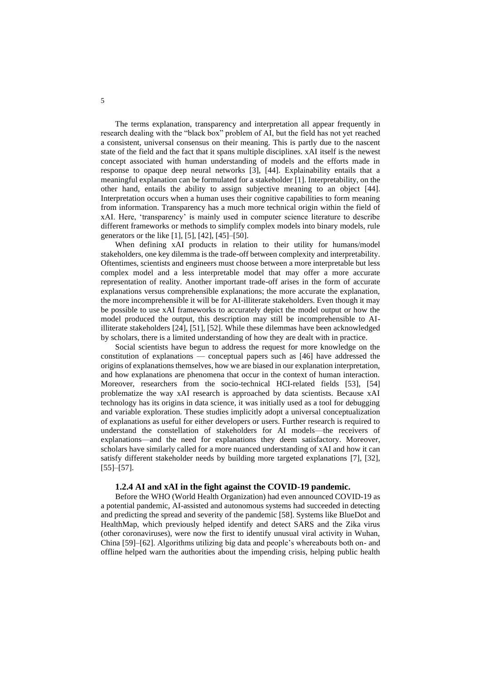The terms explanation, transparency and interpretation all appear frequently in research dealing with the "black box" problem of AI, but the field has not yet reached a consistent, universal consensus on their meaning. This is partly due to the nascent state of the field and the fact that it spans multiple disciplines. xAI itself is the newest concept associated with human understanding of models and the efforts made in response to opaque deep neural networks [3], [44]. Explainability entails that a meaningful explanation can be formulated for a stakeholder [1]. Interpretability, on the other hand, entails the ability to assign subjective meaning to an object [44]. Interpretation occurs when a human uses their cognitive capabilities to form meaning from information. Transparency has a much more technical origin within the field of xAI. Here, 'transparency' is mainly used in computer science literature to describe different frameworks or methods to simplify complex models into binary models, rule generators or the like [1], [5], [42], [45]–[50].

When defining xAI products in relation to their utility for humans/model stakeholders, one key dilemma is the trade-off between complexity and interpretability. Oftentimes, scientists and engineers must choose between a more interpretable but less complex model and a less interpretable model that may offer a more accurate representation of reality. Another important trade-off arises in the form of accurate explanations versus comprehensible explanations; the more accurate the explanation, the more incomprehensible it will be for AI-illiterate stakeholders. Even though it may be possible to use xAI frameworks to accurately depict the model output or how the model produced the output, this description may still be incomprehensible to AIilliterate stakeholders [24], [51], [52]. While these dilemmas have been acknowledged by scholars, there is a limited understanding of how they are dealt with in practice.

Social scientists have begun to address the request for more knowledge on the constitution of explanations — conceptual papers such as [46] have addressed the origins of explanations themselves, how we are biased in our explanation interpretation, and how explanations are phenomena that occur in the context of human interaction. Moreover, researchers from the socio-technical HCI-related fields [53], [54] problematize the way xAI research is approached by data scientists. Because xAI technology has its origins in data science, it was initially used as a tool for debugging and variable exploration. These studies implicitly adopt a universal conceptualization of explanations as useful for either developers or users. Further research is required to understand the constellation of stakeholders for AI models—the receivers of explanations—and the need for explanations they deem satisfactory. Moreover, scholars have similarly called for a more nuanced understanding of xAI and how it can satisfy different stakeholder needs by building more targeted explanations [7], [32],  $[55]$ – $[57]$ .

#### **1.2.4 AI and xAI in the fight against the COVID-19 pandemic.**

Before the WHO (World Health Organization) had even announced COVID-19 as a potential pandemic, AI-assisted and autonomous systems had succeeded in detecting and predicting the spread and severity of the pandemic [58]. Systems like BlueDot and HealthMap, which previously helped identify and detect SARS and the Zika virus (other coronaviruses), were now the first to identify unusual viral activity in Wuhan, China [59]–[62]. Algorithms utilizing big data and people's whereabouts both on- and offline helped warn the authorities about the impending crisis, helping public health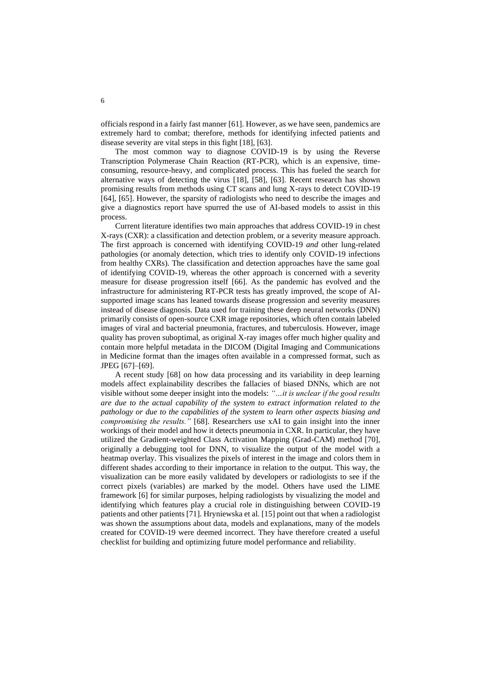officials respond in a fairly fast manner [61]. However, as we have seen, pandemics are extremely hard to combat; therefore, methods for identifying infected patients and disease severity are vital steps in this fight [18], [63].

The most common way to diagnose COVID-19 is by using the Reverse Transcription Polymerase Chain Reaction (RT-PCR), which is an expensive, timeconsuming, resource-heavy, and complicated process. This has fueled the search for alternative ways of detecting the virus [18], [58], [63]. Recent research has shown promising results from methods using CT scans and lung X-rays to detect COVID-19 [64], [65]. However, the sparsity of radiologists who need to describe the images and give a diagnostics report have spurred the use of AI-based models to assist in this process.

Current literature identifies two main approaches that address COVID-19 in chest X-rays (CXR): a classification and detection problem, or a severity measure approach. The first approach is concerned with identifying COVID-19 *and* other lung-related pathologies (or anomaly detection, which tries to identify only COVID-19 infections from healthy CXRs). The classification and detection approaches have the same goal of identifying COVID-19, whereas the other approach is concerned with a severity measure for disease progression itself [66]. As the pandemic has evolved and the infrastructure for administering RT-PCR tests has greatly improved, the scope of AIsupported image scans has leaned towards disease progression and severity measures instead of disease diagnosis. Data used for training these deep neural networks (DNN) primarily consists of open-source CXR image repositories, which often contain labeled images of viral and bacterial pneumonia, fractures, and tuberculosis. However, image quality has proven suboptimal, as original X-ray images offer much higher quality and contain more helpful metadata in the DICOM (Digital Imaging and Communications in Medicine format than the images often available in a compressed format, such as JPEG [67]–[69].

A recent study [68] on how data processing and its variability in deep learning models affect explainability describes the fallacies of biased DNNs, which are not visible without some deeper insight into the models: *"…it is unclear if the good results are due to the actual capability of the system to extract information related to the pathology or due to the capabilities of the system to learn other aspects biasing and compromising the results."* [68]. Researchers use xAI to gain insight into the inner workings of their model and how it detects pneumonia in CXR. In particular, they have utilized the Gradient-weighted Class Activation Mapping (Grad-CAM) method [70], originally a debugging tool for DNN, to visualize the output of the model with a heatmap overlay. This visualizes the pixels of interest in the image and colors them in different shades according to their importance in relation to the output. This way, the visualization can be more easily validated by developers or radiologists to see if the correct pixels (variables) are marked by the model. Others have used the LIME framework [6] for similar purposes, helping radiologists by visualizing the model and identifying which features play a crucial role in distinguishing between COVID-19 patients and other patients [71]. Hryniewska et al. [15] point out that when a radiologist was shown the assumptions about data, models and explanations, many of the models created for COVID-19 were deemed incorrect. They have therefore created a useful checklist for building and optimizing future model performance and reliability.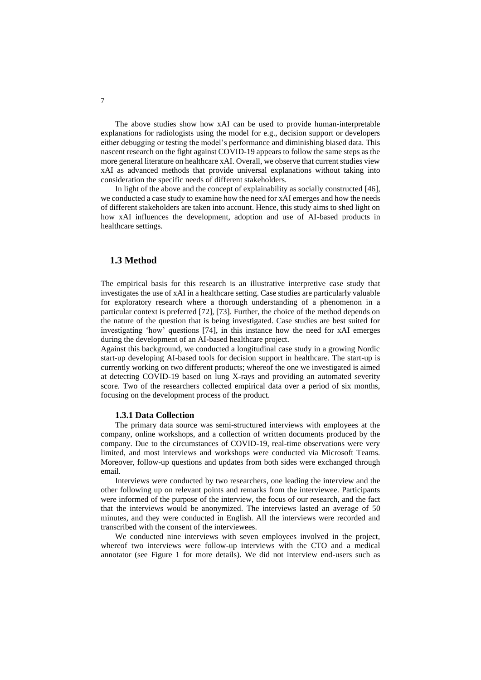The above studies show how xAI can be used to provide human-interpretable explanations for radiologists using the model for e.g., decision support or developers either debugging or testing the model's performance and diminishing biased data. This nascent research on the fight against COVID-19 appears to follow the same steps as the more general literature on healthcare xAI. Overall, we observe that current studies view xAI as advanced methods that provide universal explanations without taking into consideration the specific needs of different stakeholders.

In light of the above and the concept of explainability as socially constructed [46], we conducted a case study to examine how the need for xAI emerges and how the needs of different stakeholders are taken into account. Hence, this study aims to shed light on how xAI influences the development, adoption and use of AI-based products in healthcare settings.

## **1.3 Method**

The empirical basis for this research is an illustrative interpretive case study that investigates the use of xAI in a healthcare setting. Case studies are particularly valuable for exploratory research where a thorough understanding of a phenomenon in a particular context is preferred [72], [73]. Further, the choice of the method depends on the nature of the question that is being investigated. Case studies are best suited for investigating 'how' questions [74], in this instance how the need for xAI emerges during the development of an AI-based healthcare project.

Against this background, we conducted a longitudinal case study in a growing Nordic start-up developing AI-based tools for decision support in healthcare. The start-up is currently working on two different products; whereof the one we investigated is aimed at detecting COVID-19 based on lung X-rays and providing an automated severity score. Two of the researchers collected empirical data over a period of six months, focusing on the development process of the product.

#### **1.3.1 Data Collection**

The primary data source was semi-structured interviews with employees at the company, online workshops, and a collection of written documents produced by the company. Due to the circumstances of COVID-19, real-time observations were very limited, and most interviews and workshops were conducted via Microsoft Teams. Moreover, follow-up questions and updates from both sides were exchanged through email.

Interviews were conducted by two researchers, one leading the interview and the other following up on relevant points and remarks from the interviewee. Participants were informed of the purpose of the interview, the focus of our research, and the fact that the interviews would be anonymized. The interviews lasted an average of 50 minutes, and they were conducted in English. All the interviews were recorded and transcribed with the consent of the interviewees.

We conducted nine interviews with seven employees involved in the project, whereof two interviews were follow-up interviews with the CTO and a medical annotator (see Figure 1 for more details). We did not interview end-users such as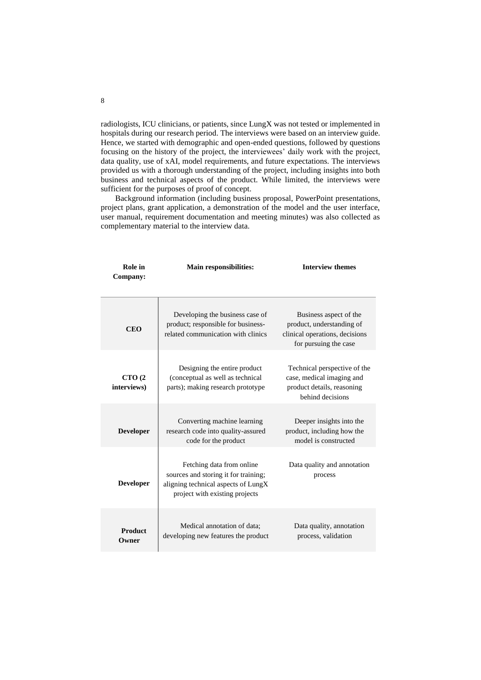radiologists, ICU clinicians, or patients, since LungX was not tested or implemented in hospitals during our research period. The interviews were based on an interview guide. Hence, we started with demographic and open-ended questions, followed by questions focusing on the history of the project, the interviewees' daily work with the project, data quality, use of xAI, model requirements, and future expectations. The interviews provided us with a thorough understanding of the project, including insights into both business and technical aspects of the product. While limited, the interviews were sufficient for the purposes of proof of concept.

Background information (including business proposal, PowerPoint presentations, project plans, grant application, a demonstration of the model and the user interface, user manual, requirement documentation and meeting minutes) was also collected as complementary material to the interview data.

| Role in<br>Company:     | <b>Main responsibilities:</b>                                                                                                              | <b>Interview themes</b>                                                                                        |  |
|-------------------------|--------------------------------------------------------------------------------------------------------------------------------------------|----------------------------------------------------------------------------------------------------------------|--|
| <b>CEO</b>              | Developing the business case of<br>product; responsible for business-<br>related communication with clinics                                | Business aspect of the<br>product, understanding of<br>clinical operations, decisions<br>for pursuing the case |  |
| CTO(2)<br>interviews)   | Designing the entire product<br>(conceptual as well as technical<br>parts); making research prototype                                      | Technical perspective of the<br>case, medical imaging and<br>product details, reasoning<br>behind decisions    |  |
| <b>Developer</b>        | Converting machine learning<br>research code into quality-assured<br>code for the product                                                  | Deeper insights into the<br>product, including how the<br>model is constructed                                 |  |
| <b>Developer</b>        | Fetching data from online<br>sources and storing it for training;<br>aligning technical aspects of LungX<br>project with existing projects | Data quality and annotation<br>process                                                                         |  |
| <b>Product</b><br>Owner | Medical annotation of data;<br>Data quality, annotation<br>developing new features the product<br>process, validation                      |                                                                                                                |  |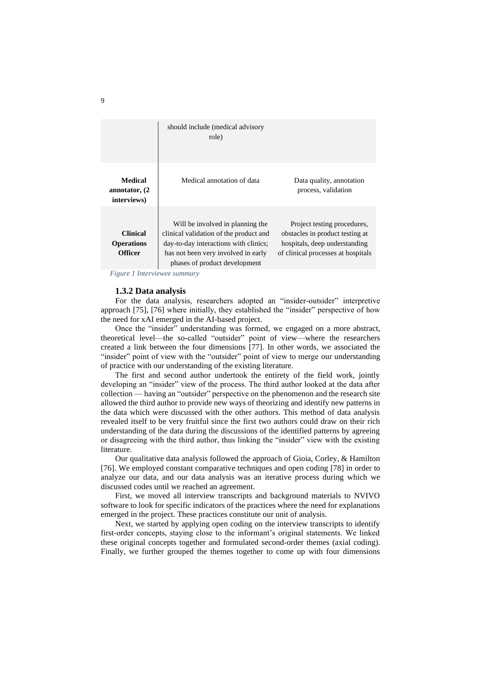|                                                        | should include (medical advisory<br>role)                                                                                                                                                   |                                                                                                                                       |
|--------------------------------------------------------|---------------------------------------------------------------------------------------------------------------------------------------------------------------------------------------------|---------------------------------------------------------------------------------------------------------------------------------------|
| <b>Medical</b><br>annotator, (2)<br>interviews)        | Medical annotation of data                                                                                                                                                                  | Data quality, annotation<br>process, validation                                                                                       |
| <b>Clinical</b><br><b>Operations</b><br><b>Officer</b> | Will be involved in planning the<br>clinical validation of the product and<br>day-to-day interactions with clinics;<br>has not been very involved in early<br>phases of product development | Project testing procedures,<br>obstacles in product testing at<br>hospitals, deep understanding<br>of clinical processes at hospitals |

*Figure 1 Interviewee summary*

#### **1.3.2 Data analysis**

For the data analysis, researchers adopted an "insider-outsider" interpretive approach [75], [76] where initially, they established the "insider" perspective of how the need for xAI emerged in the AI-based project.

Once the "insider" understanding was formed, we engaged on a more abstract, theoretical level—the so-called "outsider" point of view—where the researchers created a link between the four dimensions [77]. In other words, we associated the "insider" point of view with the "outsider" point of view to merge our understanding of practice with our understanding of the existing literature.

The first and second author undertook the entirety of the field work, jointly developing an "insider" view of the process. The third author looked at the data after collection — having an "outsider" perspective on the phenomenon and the research site allowed the third author to provide new ways of theorizing and identify new patterns in the data which were discussed with the other authors. This method of data analysis revealed itself to be very fruitful since the first two authors could draw on their rich understanding of the data during the discussions of the identified patterns by agreeing or disagreeing with the third author, thus linking the "insider" view with the existing literature.

Our qualitative data analysis followed the approach of Gioia, Corley, & Hamilton [76]. We employed constant comparative techniques and open coding [78] in order to analyze our data, and our data analysis was an iterative process during which we discussed codes until we reached an agreement.

First, we moved all interview transcripts and background materials to NVIVO software to look for specific indicators of the practices where the need for explanations emerged in the project. These practices constitute our unit of analysis.

Next, we started by applying open coding on the interview transcripts to identify first-order concepts, staying close to the informant's original statements. We linked these original concepts together and formulated second-order themes (axial coding). Finally, we further grouped the themes together to come up with four dimensions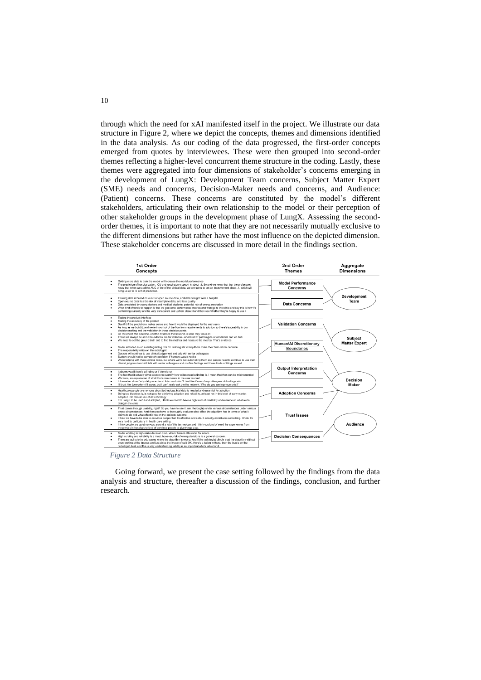through which the need for xAI manifested itself in the project. We illustrate our data structure in Figure 2, where we depict the concepts, themes and dimensions identified in the data analysis. As our coding of the data progressed, the first-order concepts emerged from quotes by interviewees. These were then grouped into second-order themes reflecting a higher-level concurrent theme structure in the coding. Lastly, these themes were aggregated into four dimensions of stakeholder's concerns emerging in the development of LungX: Development Team concerns, Subject Matter Expert (SME) needs and concerns, Decision-Maker needs and concerns, and Audience: (Patient) concerns. These concerns are constituted by the model's different stakeholders, articulating their own relationship to the model or their perception of other stakeholder groups in the development phase of LungX. Assessing the secondorder themes, it is important to note that they are not necessarily mutually exclusive to the different dimensions but rather have the most influence on the depicted dimension. These stakeholder concerns are discussed in more detail in the findings section.



Going forward, we present the case setting followed by the findings from the data analysis and structure, thereafter a discussion of the findings, conclusion, and further research.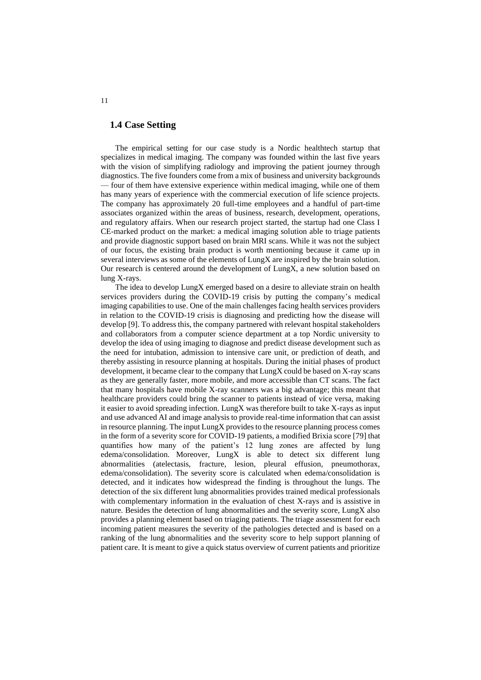### **1.4 Case Setting**

The empirical setting for our case study is a Nordic healthtech startup that specializes in medical imaging. The company was founded within the last five years with the vision of simplifying radiology and improving the patient journey through diagnostics. The five founders come from a mix of business and university backgrounds — four of them have extensive experience within medical imaging, while one of them has many years of experience with the commercial execution of life science projects. The company has approximately 20 full-time employees and a handful of part-time associates organized within the areas of business, research, development, operations, and regulatory affairs. When our research project started, the startup had one Class I CE-marked product on the market: a medical imaging solution able to triage patients and provide diagnostic support based on brain MRI scans. While it was not the subject of our focus, the existing brain product is worth mentioning because it came up in several interviews as some of the elements of LungX are inspired by the brain solution. Our research is centered around the development of LungX, a new solution based on lung X-rays.

The idea to develop LungX emerged based on a desire to alleviate strain on health services providers during the COVID-19 crisis by putting the company's medical imaging capabilities to use. One of the main challenges facing health services providers in relation to the COVID-19 crisis is diagnosing and predicting how the disease will develop [9]. To address this, the company partnered with relevant hospital stakeholders and collaborators from a computer science department at a top Nordic university to develop the idea of using imaging to diagnose and predict disease development such as the need for intubation, admission to intensive care unit, or prediction of death, and thereby assisting in resource planning at hospitals. During the initial phases of product development, it became clear to the company that LungX could be based on X-ray scans as they are generally faster, more mobile, and more accessible than CT scans. The fact that many hospitals have mobile X-ray scanners was a big advantage; this meant that healthcare providers could bring the scanner to patients instead of vice versa, making it easier to avoid spreading infection. LungX was therefore built to take X-rays as input and use advanced AI and image analysis to provide real-time information that can assist in resource planning. The input LungX provides to the resource planning process comes in the form of a severity score for COVID-19 patients, a modified Brixia score [79] that quantifies how many of the patient's 12 lung zones are affected by lung edema/consolidation. Moreover, LungX is able to detect six different lung abnormalities (atelectasis, fracture, lesion, pleural effusion, pneumothorax, edema/consolidation). The severity score is calculated when edema/consolidation is detected, and it indicates how widespread the finding is throughout the lungs. The detection of the six different lung abnormalities provides trained medical professionals with complementary information in the evaluation of chest X-rays and is assistive in nature. Besides the detection of lung abnormalities and the severity score, LungX also provides a planning element based on triaging patients. The triage assessment for each incoming patient measures the severity of the pathologies detected and is based on a ranking of the lung abnormalities and the severity score to help support planning of patient care. It is meant to give a quick status overview of current patients and prioritize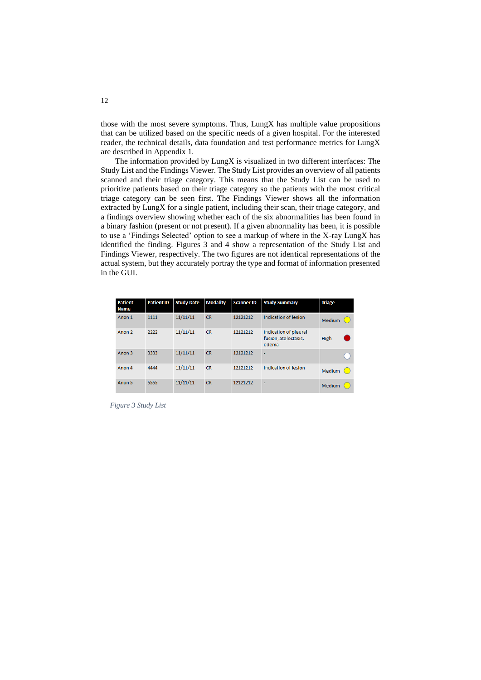those with the most severe symptoms. Thus, LungX has multiple value propositions that can be utilized based on the specific needs of a given hospital. For the interested reader, the technical details, data foundation and test performance metrics for LungX are described in Appendix 1.

The information provided by LungX is visualized in two different interfaces: The Study List and the Findings Viewer. The Study List provides an overview of all patients scanned and their triage category. This means that the Study List can be used to prioritize patients based on their triage category so the patients with the most critical triage category can be seen first. The Findings Viewer shows all the information extracted by LungX for a single patient, including their scan, their triage category, and a findings overview showing whether each of the six abnormalities has been found in a binary fashion (present or not present). If a given abnormality has been, it is possible to use a 'Findings Selected' option to see a markup of where in the X-ray LungX has identified the finding. Figures 3 and 4 show a representation of the Study List and Findings Viewer, respectively. The two figures are not identical representations of the actual system, but they accurately portray the type and format of information presented in the GUI.

| <b>Patient</b><br><b>Name</b> | <b>Patient ID</b> | <b>Study Date</b> | <b>Modality</b> | <b>Scanner ID</b> | <b>Study Summary</b>                                   | <b>Triage</b> |
|-------------------------------|-------------------|-------------------|-----------------|-------------------|--------------------------------------------------------|---------------|
| Anon 1                        | 1111              | 11/11/11          | <b>CR</b>       | 12121212          | Indication of lesion                                   | Medium        |
| Anon <sub>2</sub>             | 2222              | 11/11/11          | <b>CR</b>       | 12121212          | Indication of pleural<br>fusion, atelectasis,<br>edema | High          |
| Anon 3                        | 3333              | 11/11/11          | <b>CR</b>       | 12121212          | ۰                                                      |               |
| Anon 4                        | 4444              | 11/11/11          | <b>CR</b>       | 12121212          | Indication of lesion                                   | Medium        |
| Anon 5                        | 5555              | 11/11/11          | <b>CR</b>       | 12121212          | ٠                                                      | Medium        |

*Figure 3 Study List*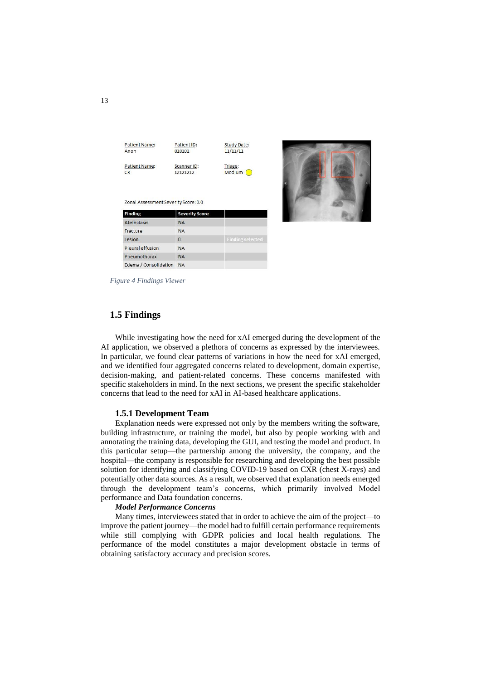

*Figure 4 Findings Viewer*

## **1.5 Findings**

While investigating how the need for xAI emerged during the development of the AI application, we observed a plethora of concerns as expressed by the interviewees. In particular, we found clear patterns of variations in how the need for xAI emerged, and we identified four aggregated concerns related to development, domain expertise, decision-making, and patient-related concerns. These concerns manifested with specific stakeholders in mind. In the next sections, we present the specific stakeholder concerns that lead to the need for xAI in AI-based healthcare applications.

#### **1.5.1 Development Team**

Explanation needs were expressed not only by the members writing the software, building infrastructure, or training the model, but also by people working with and annotating the training data, developing the GUI, and testing the model and product. In this particular setup—the partnership among the university, the company, and the hospital—the company is responsible for researching and developing the best possible solution for identifying and classifying COVID-19 based on CXR (chest X-rays) and potentially other data sources. As a result, we observed that explanation needs emerged through the development team's concerns, which primarily involved Model performance and Data foundation concerns.

#### *Model Performance Concerns*

Many times, interviewees stated that in order to achieve the aim of the project—to improve the patient journey—the model had to fulfill certain performance requirements while still complying with GDPR policies and local health regulations. The performance of the model constitutes a major development obstacle in terms of obtaining satisfactory accuracy and precision scores.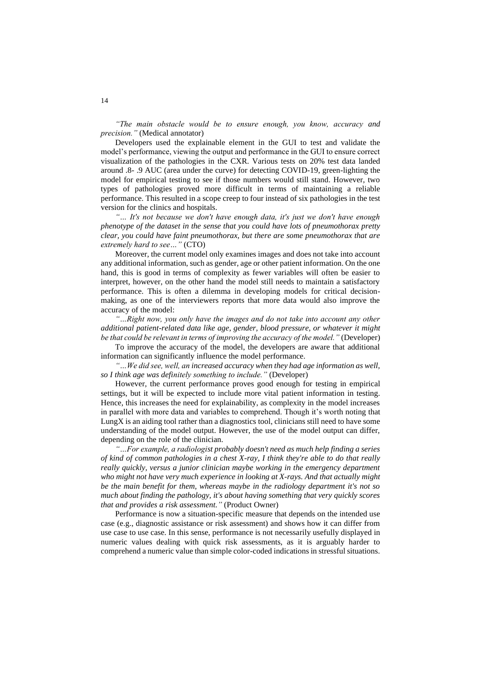*"The main obstacle would be to ensure enough, you know, accuracy and precision."* (Medical annotator)

Developers used the explainable element in the GUI to test and validate the model's performance, viewing the output and performance in the GUI to ensure correct visualization of the pathologies in the CXR. Various tests on 20% test data landed around .8- .9 AUC (area under the curve) for detecting COVID-19, green-lighting the model for empirical testing to see if those numbers would still stand. However, two types of pathologies proved more difficult in terms of maintaining a reliable performance. This resulted in a scope creep to four instead of six pathologies in the test version for the clinics and hospitals.

*"… It's not because we don't have enough data, it's just we don't have enough phenotype of the dataset in the sense that you could have lots of pneumothorax pretty clear, you could have faint pneumothorax, but there are some pneumothorax that are extremely hard to see…"* (CTO)

Moreover, the current model only examines images and does not take into account any additional information, such as gender, age or other patient information. On the one hand, this is good in terms of complexity as fewer variables will often be easier to interpret, however, on the other hand the model still needs to maintain a satisfactory performance. This is often a dilemma in developing models for critical decisionmaking, as one of the interviewers reports that more data would also improve the accuracy of the model:

*"…Right now, you only have the images and do not take into account any other additional patient-related data like age, gender, blood pressure, or whatever it might be that could be relevant in terms of improving the accuracy of the model."* (Developer)

To improve the accuracy of the model, the developers are aware that additional information can significantly influence the model performance.

*"…We did see, well, an increased accuracy when they had age information as well, so I think age was definitely something to include."* (Developer)

However, the current performance proves good enough for testing in empirical settings, but it will be expected to include more vital patient information in testing. Hence, this increases the need for explainability, as complexity in the model increases in parallel with more data and variables to comprehend. Though it's worth noting that LungX is an aiding tool rather than a diagnostics tool, clinicians still need to have some understanding of the model output. However, the use of the model output can differ, depending on the role of the clinician.

*"…For example, a radiologist probably doesn't need as much help finding a series of kind of common pathologies in a chest X-ray, I think they're able to do that really*  really quickly, versus a junior clinician maybe working in the emergency department *who might not have very much experience in looking at X-rays. And that actually might be the main benefit for them, whereas maybe in the radiology department it's not so much about finding the pathology, it's about having something that very quickly scores that and provides a risk assessment."* (Product Owner)

Performance is now a situation-specific measure that depends on the intended use case (e.g., diagnostic assistance or risk assessment) and shows how it can differ from use case to use case. In this sense, performance is not necessarily usefully displayed in numeric values dealing with quick risk assessments, as it is arguably harder to comprehend a numeric value than simple color-coded indications in stressful situations.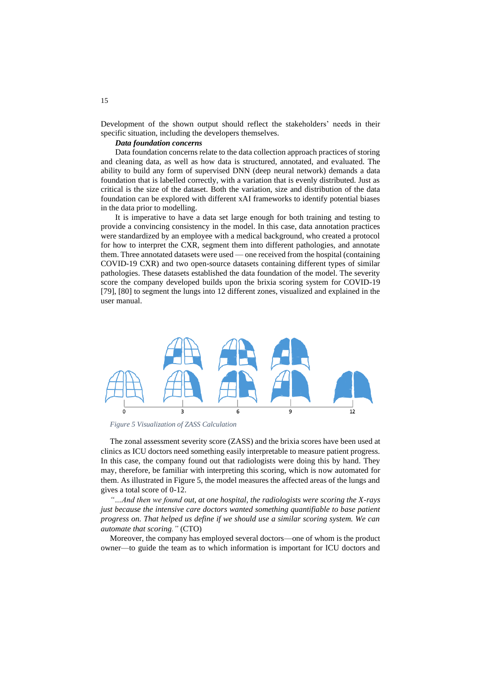Development of the shown output should reflect the stakeholders' needs in their specific situation, including the developers themselves.

#### *Data foundation concerns*

Data foundation concerns relate to the data collection approach practices of storing and cleaning data, as well as how data is structured, annotated, and evaluated. The ability to build any form of supervised DNN (deep neural network) demands a data foundation that is labelled correctly, with a variation that is evenly distributed. Just as critical is the size of the dataset. Both the variation, size and distribution of the data foundation can be explored with different xAI frameworks to identify potential biases in the data prior to modelling.

It is imperative to have a data set large enough for both training and testing to provide a convincing consistency in the model. In this case, data annotation practices were standardized by an employee with a medical background, who created a protocol for how to interpret the CXR, segment them into different pathologies, and annotate them. Three annotated datasets were used — one received from the hospital (containing COVID-19 CXR) and two open-source datasets containing different types of similar pathologies. These datasets established the data foundation of the model. The severity score the company developed builds upon the brixia scoring system for COVID-19 [79], [80] to segment the lungs into 12 different zones, visualized and explained in the user manual.



*Figure 5 Visualization of ZASS Calculation*

The zonal assessment severity score (ZASS) and the brixia scores have been used at clinics as ICU doctors need something easily interpretable to measure patient progress. In this case, the company found out that radiologists were doing this by hand. They may, therefore, be familiar with interpreting this scoring, which is now automated for them. As illustrated in Figure 5, the model measures the affected areas of the lungs and gives a total score of 0-12.

*"…And then we found out, at one hospital, the radiologists were scoring the X-rays just because the intensive care doctors wanted something quantifiable to base patient progress on. That helped us define if we should use a similar scoring system. We can automate that scoring."* (CTO)

Moreover, the company has employed several doctors—one of whom is the product owner—to guide the team as to which information is important for ICU doctors and

15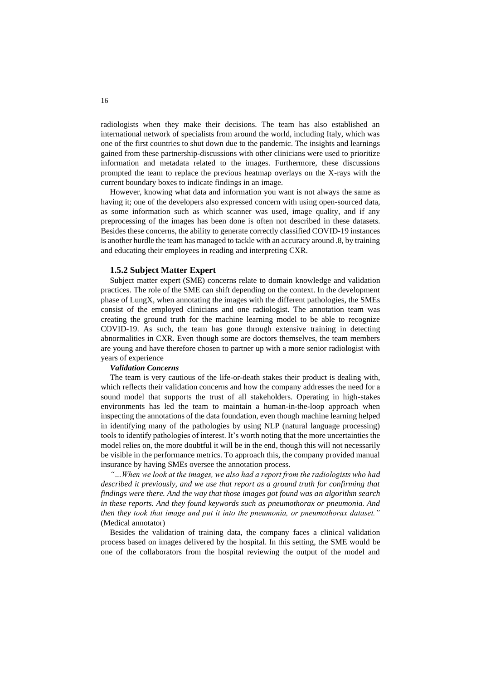radiologists when they make their decisions. The team has also established an international network of specialists from around the world, including Italy, which was one of the first countries to shut down due to the pandemic. The insights and learnings gained from these partnership-discussions with other clinicians were used to prioritize information and metadata related to the images. Furthermore, these discussions prompted the team to replace the previous heatmap overlays on the X-rays with the current boundary boxes to indicate findings in an image.

However, knowing what data and information you want is not always the same as having it; one of the developers also expressed concern with using open-sourced data, as some information such as which scanner was used, image quality, and if any preprocessing of the images has been done is often not described in these datasets. Besides these concerns, the ability to generate correctly classified COVID-19 instances is another hurdle the team has managed to tackle with an accuracy around .8, by training and educating their employees in reading and interpreting CXR.

### **1.5.2 Subject Matter Expert**

Subject matter expert (SME) concerns relate to domain knowledge and validation practices. The role of the SME can shift depending on the context. In the development phase of LungX, when annotating the images with the different pathologies, the SMEs consist of the employed clinicians and one radiologist. The annotation team was creating the ground truth for the machine learning model to be able to recognize COVID-19. As such, the team has gone through extensive training in detecting abnormalities in CXR. Even though some are doctors themselves, the team members are young and have therefore chosen to partner up with a more senior radiologist with years of experience

## *Validation Concerns*

The team is very cautious of the life-or-death stakes their product is dealing with, which reflects their validation concerns and how the company addresses the need for a sound model that supports the trust of all stakeholders. Operating in high-stakes environments has led the team to maintain a human-in-the-loop approach when inspecting the annotations of the data foundation, even though machine learning helped in identifying many of the pathologies by using NLP (natural language processing) tools to identify pathologies of interest. It's worth noting that the more uncertainties the model relies on, the more doubtful it will be in the end, though this will not necessarily be visible in the performance metrics. To approach this, the company provided manual insurance by having SMEs oversee the annotation process.

*"…When we look at the images, we also had a report from the radiologists who had described it previously, and we use that report as a ground truth for confirming that findings were there. And the way that those images got found was an algorithm search in these reports. And they found keywords such as pneumothorax or pneumonia. And then they took that image and put it into the pneumonia, or pneumothorax dataset."* (Medical annotator)

Besides the validation of training data, the company faces a clinical validation process based on images delivered by the hospital. In this setting, the SME would be one of the collaborators from the hospital reviewing the output of the model and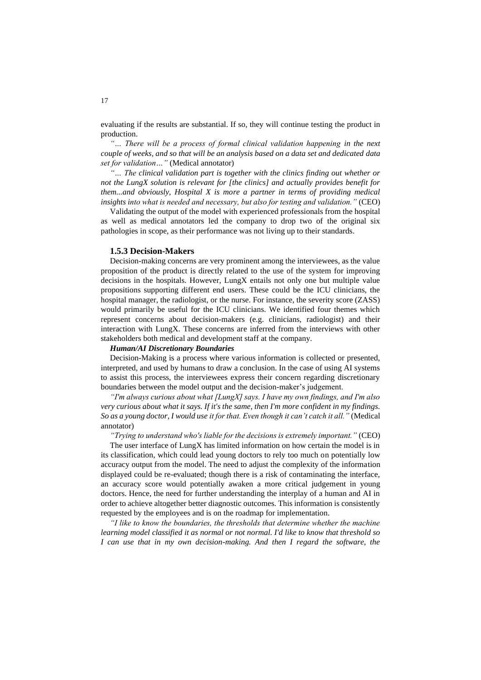evaluating if the results are substantial. If so, they will continue testing the product in production.

"... There will be a process of formal clinical validation happening in the next *couple of weeks, and so that will be an analysis based on a data set and dedicated data set for validation…"* (Medical annotator)

*"… The clinical validation part is together with the clinics finding out whether or not the LungX solution is relevant for [the clinics] and actually provides benefit for them...and obviously, Hospital X is more a partner in terms of providing medical insights into what is needed and necessary, but also for testing and validation."* (CEO)

Validating the output of the model with experienced professionals from the hospital as well as medical annotators led the company to drop two of the original six pathologies in scope, as their performance was not living up to their standards.

### **1.5.3 Decision-Makers**

Decision-making concerns are very prominent among the interviewees, as the value proposition of the product is directly related to the use of the system for improving decisions in the hospitals. However, LungX entails not only one but multiple value propositions supporting different end users. These could be the ICU clinicians, the hospital manager, the radiologist, or the nurse. For instance, the severity score (ZASS) would primarily be useful for the ICU clinicians. We identified four themes which represent concerns about decision-makers (e.g. clinicians, radiologist) and their interaction with LungX. These concerns are inferred from the interviews with other stakeholders both medical and development staff at the company.

### *Human/AI Discretionary Boundaries*

Decision-Making is a process where various information is collected or presented, interpreted, and used by humans to draw a conclusion. In the case of using AI systems to assist this process, the interviewees express their concern regarding discretionary boundaries between the model output and the decision-maker's judgement.

*"I'm always curious about what [LungX] says. I have my own findings, and I'm also very curious about what it says. If it's the same, then I'm more confident in my findings. So as a young doctor, I would use it for that. Even though it can't catch it all."* (Medical annotator)

*"Trying to understand who's liable for the decisions is extremely important."* (CEO)

The user interface of LungX has limited information on how certain the model is in its classification, which could lead young doctors to rely too much on potentially low accuracy output from the model. The need to adjust the complexity of the information displayed could be re-evaluated; though there is a risk of contaminating the interface, an accuracy score would potentially awaken a more critical judgement in young doctors. Hence, the need for further understanding the interplay of a human and AI in order to achieve altogether better diagnostic outcomes. This information is consistently requested by the employees and is on the roadmap for implementation.

*"I like to know the boundaries, the thresholds that determine whether the machine learning model classified it as normal or not normal. I'd like to know that threshold so I can use that in my own decision-making. And then I regard the software, the*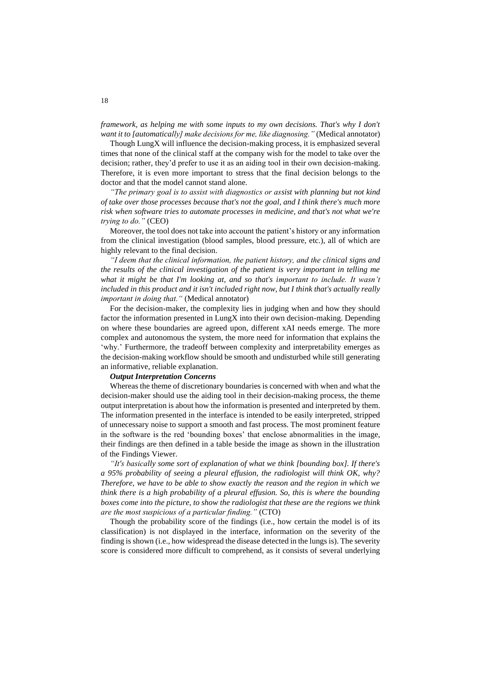*framework, as helping me with some inputs to my own decisions. That's why I don't want it to [automatically] make decisions for me, like diagnosing."* (Medical annotator)

Though LungX will influence the decision-making process, it is emphasized several times that none of the clinical staff at the company wish for the model to take over the decision; rather, they'd prefer to use it as an aiding tool in their own decision-making. Therefore, it is even more important to stress that the final decision belongs to the doctor and that the model cannot stand alone.

*"The primary goal is to assist with diagnostics or assist with planning but not kind of take over those processes because that's not the goal, and I think there's much more risk when software tries to automate processes in medicine, and that's not what we're trying to do."* (CEO)

Moreover, the tool does not take into account the patient's history or any information from the clinical investigation (blood samples, blood pressure, etc.), all of which are highly relevant to the final decision.

*"I deem that the clinical information, the patient history, and the clinical signs and the results of the clinical investigation of the patient is very important in telling me what it might be that I'm looking at, and so that's important to include. It wasn't*  included in this product and it isn't included right now, but I think that's actually really *important in doing that."* (Medical annotator)

For the decision-maker, the complexity lies in judging when and how they should factor the information presented in LungX into their own decision-making. Depending on where these boundaries are agreed upon, different xAI needs emerge. The more complex and autonomous the system, the more need for information that explains the 'why.' Furthermore, the tradeoff between complexity and interpretability emerges as the decision-making workflow should be smooth and undisturbed while still generating an informative, reliable explanation.

#### *Output Interpretation Concerns*

Whereas the theme of discretionary boundaries is concerned with when and what the decision-maker should use the aiding tool in their decision-making process, the theme output interpretation is about how the information is presented and interpreted by them. The information presented in the interface is intended to be easily interpreted, stripped of unnecessary noise to support a smooth and fast process. The most prominent feature in the software is the red 'bounding boxes' that enclose abnormalities in the image, their findings are then defined in a table beside the image as shown in the illustration of the Findings Viewer.

*"It's basically some sort of explanation of what we think [bounding box]. If there's a 95% probability of seeing a pleural effusion, the radiologist will think OK, why? Therefore, we have to be able to show exactly the reason and the region in which we think there is a high probability of a pleural effusion. So, this is where the bounding boxes come into the picture, to show the radiologist that these are the regions we think are the most suspicious of a particular finding."* (CTO)

Though the probability score of the findings (i.e., how certain the model is of its classification) is not displayed in the interface, information on the severity of the finding is shown (i.e., how widespread the disease detected in the lungs is). The severity score is considered more difficult to comprehend, as it consists of several underlying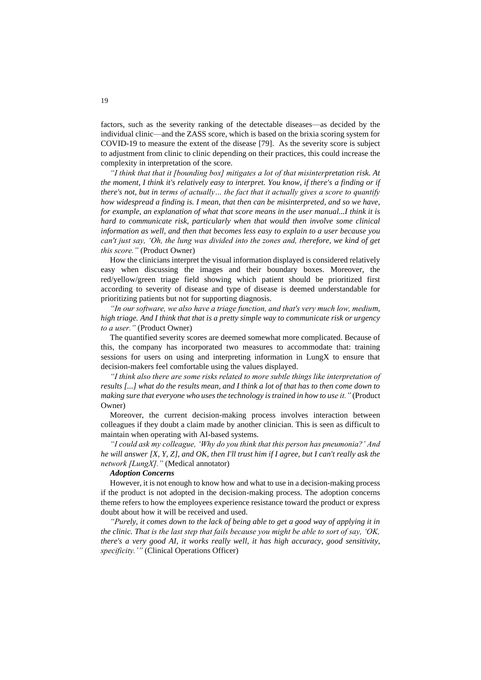factors, such as the severity ranking of the detectable diseases—as decided by the individual clinic—and the ZASS score, which is based on the brixia scoring system for COVID-19 to measure the extent of the disease [79]. As the severity score is subject to adjustment from clinic to clinic depending on their practices, this could increase the complexity in interpretation of the score.

*"I think that that it [bounding box] mitigates a lot of that misinterpretation risk. At the moment, I think it's relatively easy to interpret. You know, if there's a finding or if there's not, but in terms of actually… the fact that it actually gives a score to quantify how widespread a finding is. I mean, that then can be misinterpreted, and so we have, for example, an explanation of what that score means in the user manual...I think it is hard to communicate risk, particularly when that would then involve some clinical information as well, and then that becomes less easy to explain to a user because you can't just say, 'Oh, the lung was divided into the zones and, therefore, we kind of get this score."* (Product Owner)

How the clinicians interpret the visual information displayed is considered relatively easy when discussing the images and their boundary boxes. Moreover, the red/yellow/green triage field showing which patient should be prioritized first according to severity of disease and type of disease is deemed understandable for prioritizing patients but not for supporting diagnosis.

*"In our software, we also have a triage function, and that's very much low, medium, high triage. And I think that that is a pretty simple way to communicate risk or urgency to a user."* (Product Owner)

The quantified severity scores are deemed somewhat more complicated. Because of this, the company has incorporated two measures to accommodate that: training sessions for users on using and interpreting information in LungX to ensure that decision-makers feel comfortable using the values displayed.

*"I think also there are some risks related to more subtle things like interpretation of results [...] what do the results mean, and I think a lot of that has to then come down to making sure that everyone who uses the technology is trained in how to use it."* (Product Owner)

Moreover, the current decision-making process involves interaction between colleagues if they doubt a claim made by another clinician. This is seen as difficult to maintain when operating with AI-based systems.

*"I could ask my colleague, 'Why do you think that this person has pneumonia?' And he will answer [X, Y, Z], and OK, then I'll trust him if I agree, but I can't really ask the network [LungX]."* (Medical annotator)

#### *Adoption Concerns*

However, it is not enough to know how and what to use in a decision-making process if the product is not adopted in the decision-making process. The adoption concerns theme refers to how the employees experience resistance toward the product or express doubt about how it will be received and used.

*"Purely, it comes down to the lack of being able to get a good way of applying it in the clinic. That is the last step that fails because you might be able to sort of say, 'OK, there's a very good AI, it works really well, it has high accuracy, good sensitivity, specificity.'"* (Clinical Operations Officer)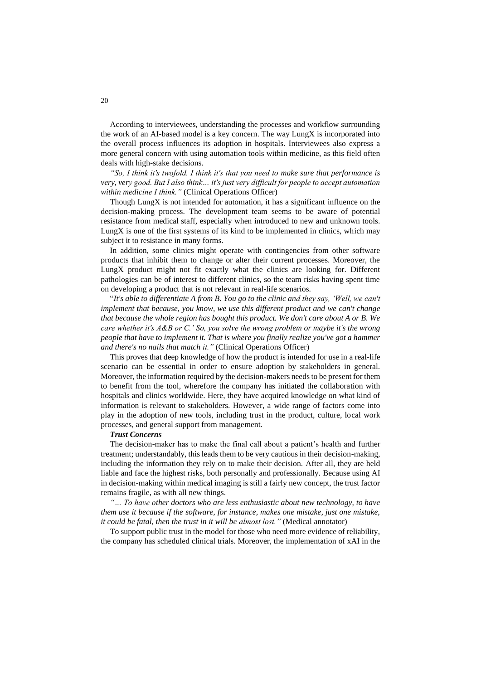According to interviewees, understanding the processes and workflow surrounding the work of an AI-based model is a key concern. The way LungX is incorporated into the overall process influences its adoption in hospitals. Interviewees also express a more general concern with using automation tools within medicine, as this field often deals with high-stake decisions.

*"So, I think it's twofold. I think it's that you need to make sure that performance is very, very good. But I also think… it's just very difficult for people to accept automation within medicine I think."* (Clinical Operations Officer)

Though LungX is not intended for automation, it has a significant influence on the decision-making process. The development team seems to be aware of potential resistance from medical staff, especially when introduced to new and unknown tools. LungX is one of the first systems of its kind to be implemented in clinics, which may subject it to resistance in many forms.

In addition, some clinics might operate with contingencies from other software products that inhibit them to change or alter their current processes. Moreover, the LungX product might not fit exactly what the clinics are looking for. Different pathologies can be of interest to different clinics, so the team risks having spent time on developing a product that is not relevant in real-life scenarios.

"*It's able to differentiate A from B. You go to the clinic and they say, 'Well, we can't implement that because, you know, we use this different product and we can't change that because the whole region has bought this product. We don't care about A or B. We care whether it's A&B or C.' So, you solve the wrong problem or maybe it's the wrong people that have to implement it. That is where you finally realize you've got a hammer and there's no nails that match it."* (Clinical Operations Officer)

This proves that deep knowledge of how the product is intended for use in a real-life scenario can be essential in order to ensure adoption by stakeholders in general. Moreover, the information required by the decision-makers needs to be present for them to benefit from the tool, wherefore the company has initiated the collaboration with hospitals and clinics worldwide. Here, they have acquired knowledge on what kind of information is relevant to stakeholders. However, a wide range of factors come into play in the adoption of new tools, including trust in the product, culture, local work processes, and general support from management.

#### *Trust Concerns*

The decision-maker has to make the final call about a patient's health and further treatment; understandably, this leads them to be very cautious in their decision-making, including the information they rely on to make their decision. After all, they are held liable and face the highest risks, both personally and professionally. Because using AI in decision-making within medical imaging is still a fairly new concept, the trust factor remains fragile, as with all new things.

*"… To have other doctors who are less enthusiastic about new technology, to have them use it because if the software, for instance, makes one mistake, just one mistake, it could be fatal, then the trust in it will be almost lost."* (Medical annotator)

To support public trust in the model for those who need more evidence of reliability, the company has scheduled clinical trials. Moreover, the implementation of xAI in the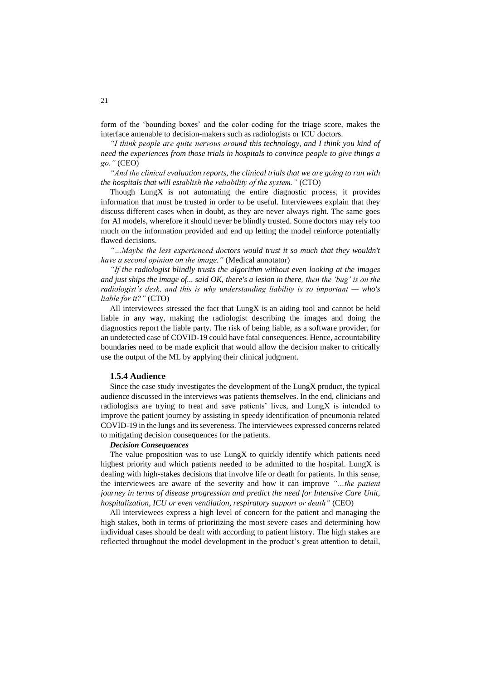form of the 'bounding boxes' and the color coding for the triage score, makes the interface amenable to decision-makers such as radiologists or ICU doctors.

*"I think people are quite nervous around this technology, and I think you kind of need the experiences from those trials in hospitals to convince people to give things a go."* (CEO)

*"And the clinical evaluation reports, the clinical trials that we are going to run with the hospitals that will establish the reliability of the system."* (CTO)

Though LungX is not automating the entire diagnostic process, it provides information that must be trusted in order to be useful. Interviewees explain that they discuss different cases when in doubt, as they are never always right. The same goes for AI models, wherefore it should never be blindly trusted. Some doctors may rely too much on the information provided and end up letting the model reinforce potentially flawed decisions.

*"…Maybe the less experienced doctors would trust it so much that they wouldn't have a second opinion on the image."* (Medical annotator)

*"If the radiologist blindly trusts the algorithm without even looking at the images and just ships the image of... said OK, there's a lesion in there, then the 'bug' is on the radiologist's desk, and this is why understanding liability is so important — who's liable for it?"* (CTO)

All interviewees stressed the fact that LungX is an aiding tool and cannot be held liable in any way, making the radiologist describing the images and doing the diagnostics report the liable party. The risk of being liable, as a software provider, for an undetected case of COVID-19 could have fatal consequences. Hence, accountability boundaries need to be made explicit that would allow the decision maker to critically use the output of the ML by applying their clinical judgment.

#### **1.5.4 Audience**

Since the case study investigates the development of the LungX product, the typical audience discussed in the interviews was patients themselves. In the end, clinicians and radiologists are trying to treat and save patients' lives, and LungX is intended to improve the patient journey by assisting in speedy identification of pneumonia related COVID-19 in the lungs and its severeness. The interviewees expressed concerns related to mitigating decision consequences for the patients.

#### *Decision Consequences*

The value proposition was to use LungX to quickly identify which patients need highest priority and which patients needed to be admitted to the hospital. LungX is dealing with high-stakes decisions that involve life or death for patients. In this sense, the interviewees are aware of the severity and how it can improve *"…the patient journey in terms of disease progression and predict the need for Intensive Care Unit, hospitalization, ICU or even ventilation, respiratory support or death"* (CEO)

All interviewees express a high level of concern for the patient and managing the high stakes, both in terms of prioritizing the most severe cases and determining how individual cases should be dealt with according to patient history. The high stakes are reflected throughout the model development in the product's great attention to detail,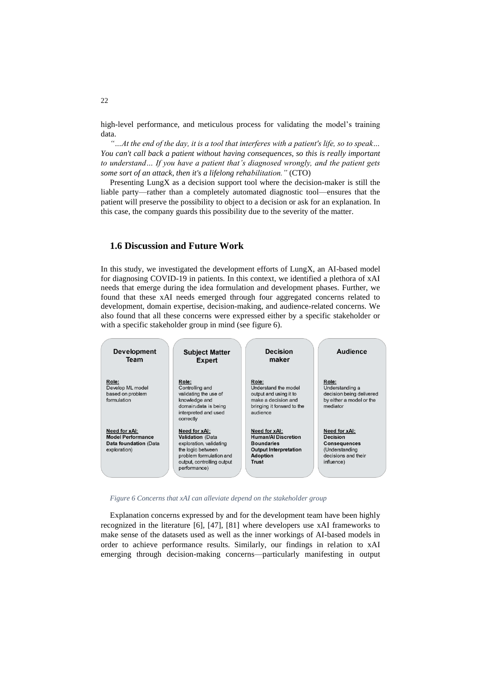high-level performance, and meticulous process for validating the model's training data.

*"…At the end of the day, it is a tool that interferes with a patient's life, so to speak… You can't call back a patient without having consequences, so this is really important to understand… If you have a patient that's diagnosed wrongly, and the patient gets some sort of an attack, then it's a lifelong rehabilitation."* (CTO)

Presenting LungX as a decision support tool where the decision-maker is still the liable party—rather than a completely automated diagnostic tool—ensures that the patient will preserve the possibility to object to a decision or ask for an explanation. In this case, the company guards this possibility due to the severity of the matter.

# **1.6 Discussion and Future Work**

In this study, we investigated the development efforts of LungX, an AI-based model for diagnosing COVID-19 in patients. In this context, we identified a plethora of xAI needs that emerge during the idea formulation and development phases. Further, we found that these xAI needs emerged through four aggregated concerns related to development, domain expertise, decision-making, and audience-related concerns. We also found that all these concerns were expressed either by a specific stakeholder or with a specific stakeholder group in mind (see figure 6).



*Figure 6 Concerns that xAI can alleviate depend on the stakeholder group* 

Explanation concerns expressed by and for the development team have been highly recognized in the literature [6], [47], [81] where developers use xAI frameworks to make sense of the datasets used as well as the inner workings of AI-based models in order to achieve performance results. Similarly, our findings in relation to xAI emerging through decision-making concerns—particularly manifesting in output

22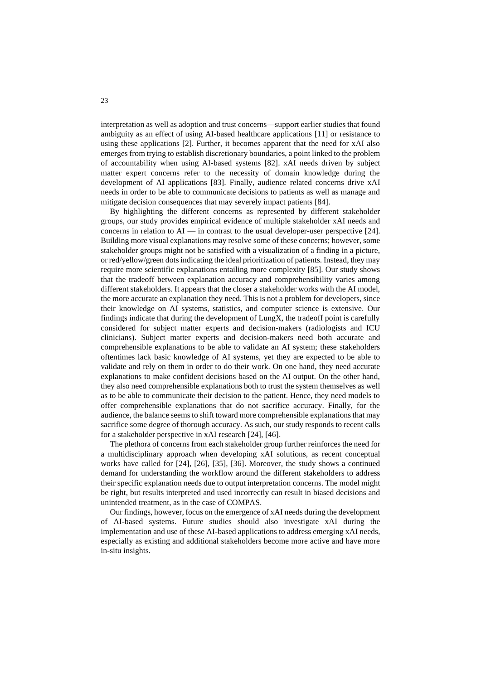interpretation as well as adoption and trust concerns—support earlier studies that found ambiguity as an effect of using AI-based healthcare applications [11] or resistance to using these applications [2]. Further, it becomes apparent that the need for xAI also emerges from trying to establish discretionary boundaries, a point linked to the problem of accountability when using AI-based systems [82]. xAI needs driven by subject matter expert concerns refer to the necessity of domain knowledge during the development of AI applications [83]. Finally, audience related concerns drive xAI needs in order to be able to communicate decisions to patients as well as manage and mitigate decision consequences that may severely impact patients [84].

By highlighting the different concerns as represented by different stakeholder groups, our study provides empirical evidence of multiple stakeholder xAI needs and concerns in relation to  $AI$  — in contrast to the usual developer-user perspective [24]. Building more visual explanations may resolve some of these concerns; however, some stakeholder groups might not be satisfied with a visualization of a finding in a picture, or red/yellow/green dots indicating the ideal prioritization of patients. Instead, they may require more scientific explanations entailing more complexity [85]. Our study shows that the tradeoff between explanation accuracy and comprehensibility varies among different stakeholders. It appears that the closer a stakeholder works with the AI model, the more accurate an explanation they need. This is not a problem for developers, since their knowledge on AI systems, statistics, and computer science is extensive. Our findings indicate that during the development of LungX, the tradeoff point is carefully considered for subject matter experts and decision-makers (radiologists and ICU clinicians). Subject matter experts and decision-makers need both accurate and comprehensible explanations to be able to validate an AI system; these stakeholders oftentimes lack basic knowledge of AI systems, yet they are expected to be able to validate and rely on them in order to do their work. On one hand, they need accurate explanations to make confident decisions based on the AI output. On the other hand, they also need comprehensible explanations both to trust the system themselves as well as to be able to communicate their decision to the patient. Hence, they need models to offer comprehensible explanations that do not sacrifice accuracy. Finally, for the audience, the balance seems to shift toward more comprehensible explanations that may sacrifice some degree of thorough accuracy. As such, our study responds to recent calls for a stakeholder perspective in xAI research [24], [46].

The plethora of concerns from each stakeholder group further reinforces the need for a multidisciplinary approach when developing xAI solutions, as recent conceptual works have called for [24], [26], [35], [36]. Moreover, the study shows a continued demand for understanding the workflow around the different stakeholders to address their specific explanation needs due to output interpretation concerns. The model might be right, but results interpreted and used incorrectly can result in biased decisions and unintended treatment, as in the case of COMPAS.

Our findings, however, focus on the emergence of xAI needs during the development of AI-based systems. Future studies should also investigate xAI during the implementation and use of these AI-based applications to address emerging xAI needs, especially as existing and additional stakeholders become more active and have more in-situ insights.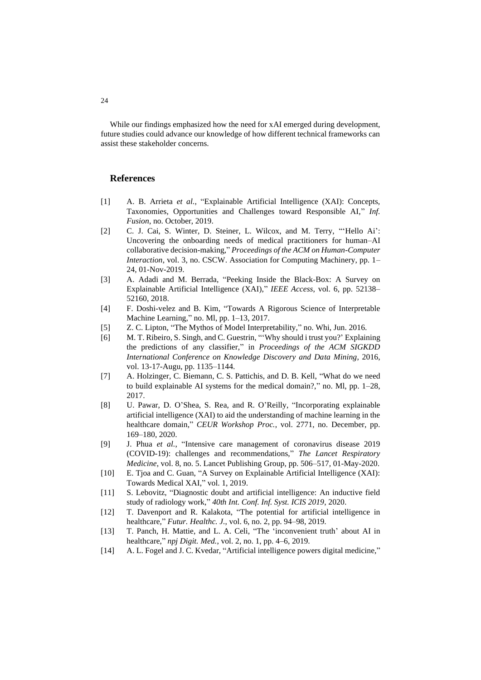While our findings emphasized how the need for xAI emerged during development, future studies could advance our knowledge of how different technical frameworks can assist these stakeholder concerns.

### **References**

- [1] A. B. Arrieta *et al.*, "Explainable Artificial Intelligence (XAI): Concepts, Taxonomies, Opportunities and Challenges toward Responsible AI," *Inf. Fusion*, no. October, 2019.
- [2] C. J. Cai, S. Winter, D. Steiner, L. Wilcox, and M. Terry, "'Hello Ai': Uncovering the onboarding needs of medical practitioners for human–AI collaborative decision-making," *Proceedings of the ACM on Human-Computer Interaction*, vol. 3, no. CSCW. Association for Computing Machinery, pp. 1– 24, 01-Nov-2019.
- [3] A. Adadi and M. Berrada, "Peeking Inside the Black-Box: A Survey on Explainable Artificial Intelligence (XAI)," *IEEE Access*, vol. 6, pp. 52138– 52160, 2018.
- [4] F. Doshi-velez and B. Kim, "Towards A Rigorous Science of Interpretable Machine Learning," no. Ml, pp. 1–13, 2017.
- [5] Z. C. Lipton, "The Mythos of Model Interpretability," no. Whi, Jun. 2016.
- [6] M. T. Ribeiro, S. Singh, and C. Guestrin, "'Why should i trust you?' Explaining the predictions of any classifier," in *Proceedings of the ACM SIGKDD International Conference on Knowledge Discovery and Data Mining*, 2016, vol. 13-17-Augu, pp. 1135–1144.
- [7] A. Holzinger, C. Biemann, C. S. Pattichis, and D. B. Kell, "What do we need to build explainable AI systems for the medical domain?," no. Ml, pp. 1–28, 2017.
- [8] U. Pawar, D. O'Shea, S. Rea, and R. O'Reilly, "Incorporating explainable artificial intelligence (XAI) to aid the understanding of machine learning in the healthcare domain," *CEUR Workshop Proc.*, vol. 2771, no. December, pp. 169–180, 2020.
- [9] J. Phua *et al.*, "Intensive care management of coronavirus disease 2019 (COVID-19): challenges and recommendations," *The Lancet Respiratory Medicine*, vol. 8, no. 5. Lancet Publishing Group, pp. 506–517, 01-May-2020.
- [10] E. Tjoa and C. Guan, "A Survey on Explainable Artificial Intelligence (XAI): Towards Medical XAI," vol. 1, 2019.
- [11] S. Lebovitz, "Diagnostic doubt and artificial intelligence: An inductive field study of radiology work," *40th Int. Conf. Inf. Syst. ICIS 2019*, 2020.
- [12] T. Davenport and R. Kalakota, "The potential for artificial intelligence in healthcare," *Futur. Healthc. J.*, vol. 6, no. 2, pp. 94–98, 2019.
- [13] T. Panch, H. Mattie, and L. A. Celi, "The 'inconvenient truth' about AI in healthcare," *npj Digit. Med.*, vol. 2, no. 1, pp. 4–6, 2019.
- [14] A. L. Fogel and J. C. Kvedar, "Artificial intelligence powers digital medicine,"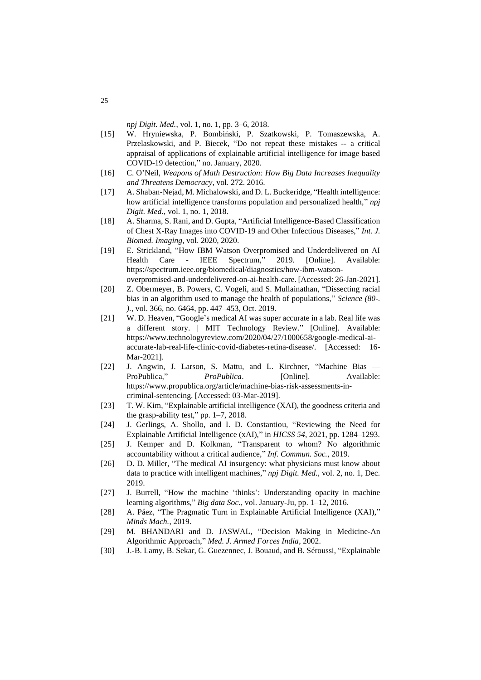*npj Digit. Med.*, vol. 1, no. 1, pp. 3–6, 2018.

- [15] W. Hryniewska, P. Bombiński, P. Szatkowski, P. Tomaszewska, A. Przelaskowski, and P. Biecek, "Do not repeat these mistakes -- a critical appraisal of applications of explainable artificial intelligence for image based COVID-19 detection," no. January, 2020.
- [16] C. O'Neil, *Weapons of Math Destruction: How Big Data Increases Inequality and Threatens Democracy*, vol. 272. 2016.
- [17] A. Shaban-Nejad, M. Michalowski, and D. L. Buckeridge, "Health intelligence: how artificial intelligence transforms population and personalized health," *npj Digit. Med.*, vol. 1, no. 1, 2018.
- [18] A. Sharma, S. Rani, and D. Gupta, "Artificial Intelligence-Based Classification of Chest X-Ray Images into COVID-19 and Other Infectious Diseases," *Int. J. Biomed. Imaging*, vol. 2020, 2020.
- [19] E. Strickland, "How IBM Watson Overpromised and Underdelivered on AI Health Care - IEEE Spectrum," 2019. [Online]. Available: https://spectrum.ieee.org/biomedical/diagnostics/how-ibm-watsonoverpromised-and-underdelivered-on-ai-health-care. [Accessed: 26-Jan-2021].
- [20] Z. Obermeyer, B. Powers, C. Vogeli, and S. Mullainathan, "Dissecting racial bias in an algorithm used to manage the health of populations," *Science (80-. ).*, vol. 366, no. 6464, pp. 447–453, Oct. 2019.
- [21] W. D. Heaven, "Google's medical AI was super accurate in a lab. Real life was a different story. | MIT Technology Review." [Online]. Available: https://www.technologyreview.com/2020/04/27/1000658/google-medical-aiaccurate-lab-real-life-clinic-covid-diabetes-retina-disease/. [Accessed: 16- Mar-2021].
- [22] J. Angwin, J. Larson, S. Mattu, and L. Kirchner, "Machine Bias ProPublica," *ProPublica*. [Online]. Available: https://www.propublica.org/article/machine-bias-risk-assessments-incriminal-sentencing. [Accessed: 03-Mar-2019].
- [23] T. W. Kim, "Explainable artificial intelligence (XAI), the goodness criteria and the grasp-ability test," pp. 1–7, 2018.
- [24] J. Gerlings, A. Shollo, and I. D. Constantiou, "Reviewing the Need for Explainable Artificial Intelligence (xAI)," in *HICSS 54*, 2021, pp. 1284–1293.
- [25] J. Kemper and D. Kolkman, "Transparent to whom? No algorithmic accountability without a critical audience," *Inf. Commun. Soc.*, 2019.
- [26] D. D. Miller, "The medical AI insurgency: what physicians must know about data to practice with intelligent machines," *npj Digit. Med.*, vol. 2, no. 1, Dec. 2019.
- [27] J. Burrell, "How the machine 'thinks': Understanding opacity in machine learning algorithms," *Big data Soc.*, vol. January-Ju, pp. 1–12, 2016.
- [28] A. Páez, "The Pragmatic Turn in Explainable Artificial Intelligence (XAI)," *Minds Mach.*, 2019.
- [29] M. BHANDARI and D. JASWAL, "Decision Making in Medicine-An Algorithmic Approach," *Med. J. Armed Forces India*, 2002.
- [30] J.-B. Lamy, B. Sekar, G. Guezennec, J. Bouaud, and B. Séroussi, "Explainable

25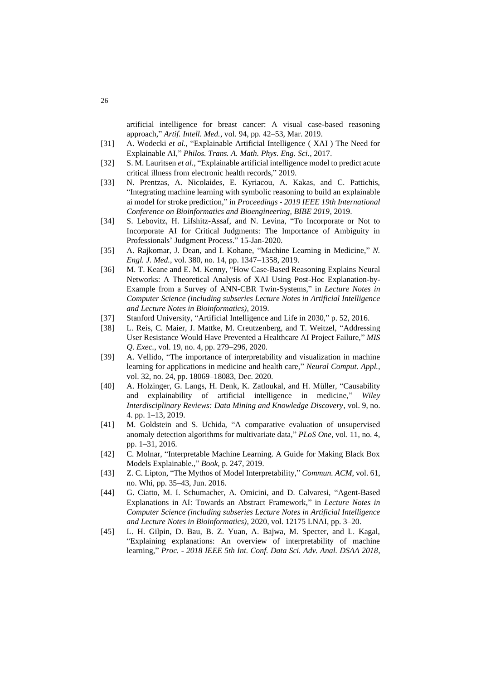artificial intelligence for breast cancer: A visual case-based reasoning approach," *Artif. Intell. Med.*, vol. 94, pp. 42–53, Mar. 2019.

- [31] A. Wodecki *et al.*, "Explainable Artificial Intelligence ( XAI ) The Need for Explainable AI," *Philos. Trans. A. Math. Phys. Eng. Sci.*, 2017.
- [32] S. M. Lauritsen *et al.*, "Explainable artificial intelligence model to predict acute critical illness from electronic health records," 2019.
- [33] N. Prentzas, A. Nicolaides, E. Kyriacou, A. Kakas, and C. Pattichis, "Integrating machine learning with symbolic reasoning to build an explainable ai model for stroke prediction," in *Proceedings - 2019 IEEE 19th International Conference on Bioinformatics and Bioengineering, BIBE 2019*, 2019.
- [34] S. Lebovitz, H. Lifshitz-Assaf, and N. Levina, "To Incorporate or Not to Incorporate AI for Critical Judgments: The Importance of Ambiguity in Professionals' Judgment Process." 15-Jan-2020.
- [35] A. Rajkomar, J. Dean, and I. Kohane, "Machine Learning in Medicine," *N. Engl. J. Med.*, vol. 380, no. 14, pp. 1347–1358, 2019.
- [36] M. T. Keane and E. M. Kenny, "How Case-Based Reasoning Explains Neural Networks: A Theoretical Analysis of XAI Using Post-Hoc Explanation-by-Example from a Survey of ANN-CBR Twin-Systems," in *Lecture Notes in Computer Science (including subseries Lecture Notes in Artificial Intelligence and Lecture Notes in Bioinformatics)*, 2019.
- [37] Stanford University, "Artificial Intelligence and Life in 2030," p. 52, 2016.
- [38] L. Reis, C. Maier, J. Mattke, M. Creutzenberg, and T. Weitzel, "Addressing User Resistance Would Have Prevented a Healthcare AI Project Failure," *MIS Q. Exec.*, vol. 19, no. 4, pp. 279–296, 2020.
- [39] A. Vellido, "The importance of interpretability and visualization in machine learning for applications in medicine and health care," *Neural Comput. Appl.*, vol. 32, no. 24, pp. 18069–18083, Dec. 2020.
- [40] A. Holzinger, G. Langs, H. Denk, K. Zatloukal, and H. Müller, "Causability and explainability of artificial intelligence in medicine," *Wiley Interdisciplinary Reviews: Data Mining and Knowledge Discovery*, vol. 9, no. 4. pp. 1–13, 2019.
- [41] M. Goldstein and S. Uchida, "A comparative evaluation of unsupervised anomaly detection algorithms for multivariate data," *PLoS One*, vol. 11, no. 4, pp. 1–31, 2016.
- [42] C. Molnar, "Interpretable Machine Learning. A Guide for Making Black Box Models Explainable.," *Book*, p. 247, 2019.
- [43] Z. C. Lipton, "The Mythos of Model Interpretability," *Commun. ACM*, vol. 61, no. Whi, pp. 35–43, Jun. 2016.
- [44] G. Ciatto, M. I. Schumacher, A. Omicini, and D. Calvaresi, "Agent-Based Explanations in AI: Towards an Abstract Framework," in *Lecture Notes in Computer Science (including subseries Lecture Notes in Artificial Intelligence and Lecture Notes in Bioinformatics)*, 2020, vol. 12175 LNAI, pp. 3–20.
- [45] L. H. Gilpin, D. Bau, B. Z. Yuan, A. Bajwa, M. Specter, and L. Kagal, "Explaining explanations: An overview of interpretability of machine learning," *Proc. - 2018 IEEE 5th Int. Conf. Data Sci. Adv. Anal. DSAA 2018*,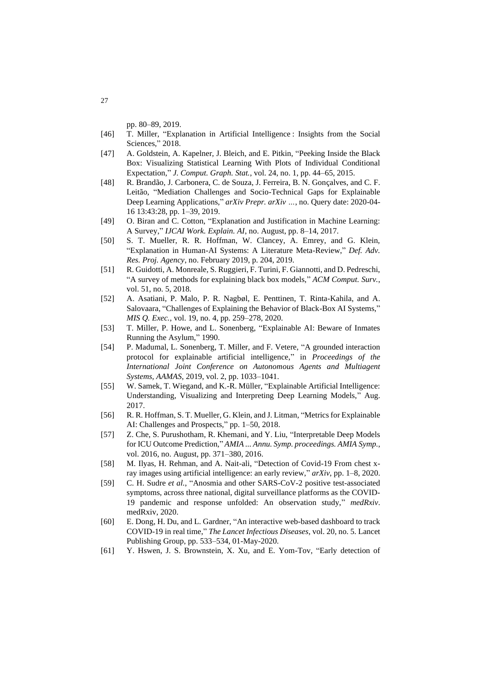pp. 80–89, 2019.

- [46] T. Miller, "Explanation in Artificial Intelligence : Insights from the Social Sciences," 2018.
- [47] A. Goldstein, A. Kapelner, J. Bleich, and E. Pitkin, "Peeking Inside the Black Box: Visualizing Statistical Learning With Plots of Individual Conditional Expectation," *J. Comput. Graph. Stat.*, vol. 24, no. 1, pp. 44–65, 2015.
- [48] R. Brandão, J. Carbonera, C. de Souza, J. Ferreira, B. N. Gonçalves, and C. F. Leitão, "Mediation Challenges and Socio-Technical Gaps for Explainable Deep Learning Applications," *arXiv Prepr. arXiv …*, no. Query date: 2020-04- 16 13:43:28, pp. 1–39, 2019.
- [49] O. Biran and C. Cotton, "Explanation and Justification in Machine Learning: A Survey," *IJCAI Work. Explain. AI*, no. August, pp. 8–14, 2017.
- [50] S. T. Mueller, R. R. Hoffman, W. Clancey, A. Emrey, and G. Klein, "Explanation in Human-AI Systems: A Literature Meta-Review," *Def. Adv. Res. Proj. Agency*, no. February 2019, p. 204, 2019.
- [51] R. Guidotti, A. Monreale, S. Ruggieri, F. Turini, F. Giannotti, and D. Pedreschi, "A survey of methods for explaining black box models," *ACM Comput. Surv.*, vol. 51, no. 5, 2018.
- [52] A. Asatiani, P. Malo, P. R. Nagbøl, E. Penttinen, T. Rinta-Kahila, and A. Salovaara, "Challenges of Explaining the Behavior of Black-Box AI Systems," *MIS Q. Exec.*, vol. 19, no. 4, pp. 259–278, 2020.
- [53] T. Miller, P. Howe, and L. Sonenberg, "Explainable AI: Beware of Inmates Running the Asylum," 1990.
- [54] P. Madumal, L. Sonenberg, T. Miller, and F. Vetere, "A grounded interaction protocol for explainable artificial intelligence," in *Proceedings of the International Joint Conference on Autonomous Agents and Multiagent Systems, AAMAS*, 2019, vol. 2, pp. 1033–1041.
- [55] W. Samek, T. Wiegand, and K.-R. Müller, "Explainable Artificial Intelligence: Understanding, Visualizing and Interpreting Deep Learning Models," Aug. 2017.
- [56] R. R. Hoffman, S. T. Mueller, G. Klein, and J. Litman, "Metrics for Explainable AI: Challenges and Prospects," pp. 1–50, 2018.
- [57] Z. Che, S. Purushotham, R. Khemani, and Y. Liu, "Interpretable Deep Models for ICU Outcome Prediction," *AMIA ... Annu. Symp. proceedings. AMIA Symp.*, vol. 2016, no. August, pp. 371–380, 2016.
- [58] M. Ilyas, H. Rehman, and A. Nait-ali, "Detection of Covid-19 From chest xray images using artificial intelligence: an early review," *arXiv*, pp. 1–8, 2020.
- [59] C. H. Sudre *et al.*, "Anosmia and other SARS-CoV-2 positive test-associated symptoms, across three national, digital surveillance platforms as the COVID-19 pandemic and response unfolded: An observation study," *medRxiv*. medRxiv, 2020.
- [60] E. Dong, H. Du, and L. Gardner, "An interactive web-based dashboard to track COVID-19 in real time," *The Lancet Infectious Diseases*, vol. 20, no. 5. Lancet Publishing Group, pp. 533–534, 01-May-2020.
- [61] Y. Hswen, J. S. Brownstein, X. Xu, and E. Yom-Tov, "Early detection of

27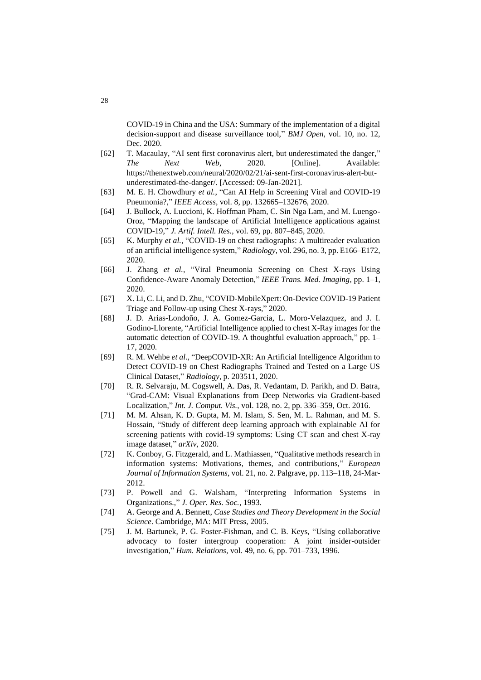COVID-19 in China and the USA: Summary of the implementation of a digital decision-support and disease surveillance tool," *BMJ Open*, vol. 10, no. 12, Dec. 2020.

- [62] T. Macaulay, "AI sent first coronavirus alert, but underestimated the danger," *The Next Web*, 2020. [Online]. Available: https://thenextweb.com/neural/2020/02/21/ai-sent-first-coronavirus-alert-butunderestimated-the-danger/. [Accessed: 09-Jan-2021].
- [63] M. E. H. Chowdhury *et al.*, "Can AI Help in Screening Viral and COVID-19 Pneumonia?," *IEEE Access*, vol. 8, pp. 132665–132676, 2020.
- [64] J. Bullock, A. Luccioni, K. Hoffman Pham, C. Sin Nga Lam, and M. Luengo-Oroz, "Mapping the landscape of Artificial Intelligence applications against COVID-19," *J. Artif. Intell. Res.*, vol. 69, pp. 807–845, 2020.
- [65] K. Murphy *et al.*, "COVID-19 on chest radiographs: A multireader evaluation of an artificial intelligence system," *Radiology*, vol. 296, no. 3, pp. E166–E172, 2020.
- [66] J. Zhang *et al.*, "Viral Pneumonia Screening on Chest X-rays Using Confidence-Aware Anomaly Detection," *IEEE Trans. Med. Imaging*, pp. 1–1, 2020.
- [67] X. Li, C. Li, and D. Zhu, "COVID-MobileXpert: On-Device COVID-19 Patient Triage and Follow-up using Chest X-rays," 2020.
- [68] J. D. Arias-Londoño, J. A. Gomez-Garcia, L. Moro-Velazquez, and J. I. Godino-Llorente, "Artificial Intelligence applied to chest X-Ray images for the automatic detection of COVID-19. A thoughtful evaluation approach," pp. 1– 17, 2020.
- [69] R. M. Wehbe *et al.*, "DeepCOVID-XR: An Artificial Intelligence Algorithm to Detect COVID-19 on Chest Radiographs Trained and Tested on a Large US Clinical Dataset," *Radiology*, p. 203511, 2020.
- [70] R. R. Selvaraju, M. Cogswell, A. Das, R. Vedantam, D. Parikh, and D. Batra, "Grad-CAM: Visual Explanations from Deep Networks via Gradient-based Localization," *Int. J. Comput. Vis.*, vol. 128, no. 2, pp. 336–359, Oct. 2016.
- [71] M. M. Ahsan, K. D. Gupta, M. M. Islam, S. Sen, M. L. Rahman, and M. S. Hossain, "Study of different deep learning approach with explainable AI for screening patients with covid-19 symptoms: Using CT scan and chest X-ray image dataset," *arXiv*, 2020.
- [72] K. Conboy, G. Fitzgerald, and L. Mathiassen, "Qualitative methods research in information systems: Motivations, themes, and contributions," *European Journal of Information Systems*, vol. 21, no. 2. Palgrave, pp. 113–118, 24-Mar-2012.
- [73] P. Powell and G. Walsham, "Interpreting Information Systems in Organizations.," *J. Oper. Res. Soc.*, 1993.
- [74] A. George and A. Bennett, *Case Studies and Theory Development in the Social Science*. Cambridge, MA: MIT Press, 2005.
- [75] J. M. Bartunek, P. G. Foster-Fishman, and C. B. Keys, "Using collaborative advocacy to foster intergroup cooperation: A joint insider-outsider investigation," *Hum. Relations*, vol. 49, no. 6, pp. 701–733, 1996.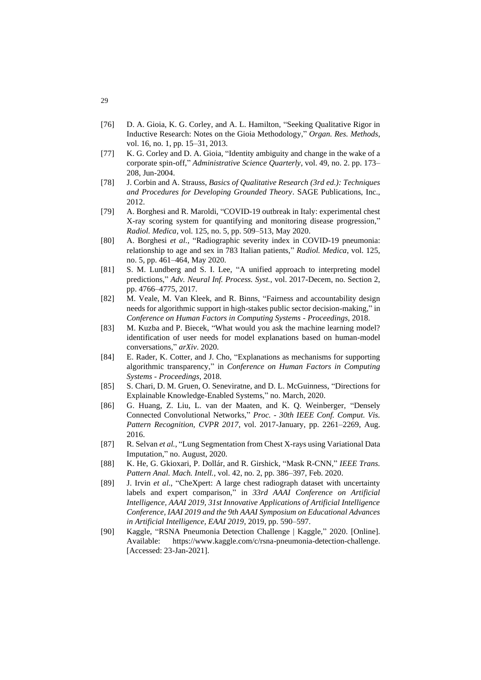- [76] D. A. Gioia, K. G. Corley, and A. L. Hamilton, "Seeking Qualitative Rigor in Inductive Research: Notes on the Gioia Methodology," *Organ. Res. Methods*, vol. 16, no. 1, pp. 15–31, 2013.
- [77] K. G. Corley and D. A. Gioia, "Identity ambiguity and change in the wake of a corporate spin-off," *Administrative Science Quarterly*, vol. 49, no. 2. pp. 173– 208, Jun-2004.
- [78] J. Corbin and A. Strauss, *Basics of Qualitative Research (3rd ed.): Techniques and Procedures for Developing Grounded Theory*. SAGE Publications, Inc., 2012.
- [79] A. Borghesi and R. Maroldi, "COVID-19 outbreak in Italy: experimental chest X-ray scoring system for quantifying and monitoring disease progression," *Radiol. Medica*, vol. 125, no. 5, pp. 509–513, May 2020.
- [80] A. Borghesi *et al.*, "Radiographic severity index in COVID-19 pneumonia: relationship to age and sex in 783 Italian patients," *Radiol. Medica*, vol. 125, no. 5, pp. 461–464, May 2020.
- [81] S. M. Lundberg and S. I. Lee, "A unified approach to interpreting model predictions," *Adv. Neural Inf. Process. Syst.*, vol. 2017-Decem, no. Section 2, pp. 4766–4775, 2017.
- [82] M. Veale, M. Van Kleek, and R. Binns, "Fairness and accountability design needs for algorithmic support in high-stakes public sector decision-making," in *Conference on Human Factors in Computing Systems - Proceedings*, 2018.
- [83] M. Kuzba and P. Biecek, "What would you ask the machine learning model? identification of user needs for model explanations based on human-model conversations," *arXiv*. 2020.
- [84] E. Rader, K. Cotter, and J. Cho, "Explanations as mechanisms for supporting algorithmic transparency," in *Conference on Human Factors in Computing Systems - Proceedings*, 2018.
- [85] S. Chari, D. M. Gruen, O. Seneviratne, and D. L. McGuinness, "Directions for Explainable Knowledge-Enabled Systems," no. March, 2020.
- [86] G. Huang, Z. Liu, L. van der Maaten, and K. Q. Weinberger, "Densely Connected Convolutional Networks," *Proc. - 30th IEEE Conf. Comput. Vis. Pattern Recognition, CVPR 2017*, vol. 2017-January, pp. 2261–2269, Aug. 2016.
- [87] R. Selvan *et al.*, "Lung Segmentation from Chest X-rays using Variational Data Imputation," no. August, 2020.
- [88] K. He, G. Gkioxari, P. Dollár, and R. Girshick, "Mask R-CNN," *IEEE Trans. Pattern Anal. Mach. Intell.*, vol. 42, no. 2, pp. 386–397, Feb. 2020.
- [89] J. Irvin *et al.*, "CheXpert: A large chest radiograph dataset with uncertainty labels and expert comparison," in *33rd AAAI Conference on Artificial Intelligence, AAAI 2019, 31st Innovative Applications of Artificial Intelligence Conference, IAAI 2019 and the 9th AAAI Symposium on Educational Advances in Artificial Intelligence, EAAI 2019*, 2019, pp. 590–597.
- [90] Kaggle, "RSNA Pneumonia Detection Challenge | Kaggle," 2020. [Online]. Available: https://www.kaggle.com/c/rsna-pneumonia-detection-challenge. [Accessed: 23-Jan-2021].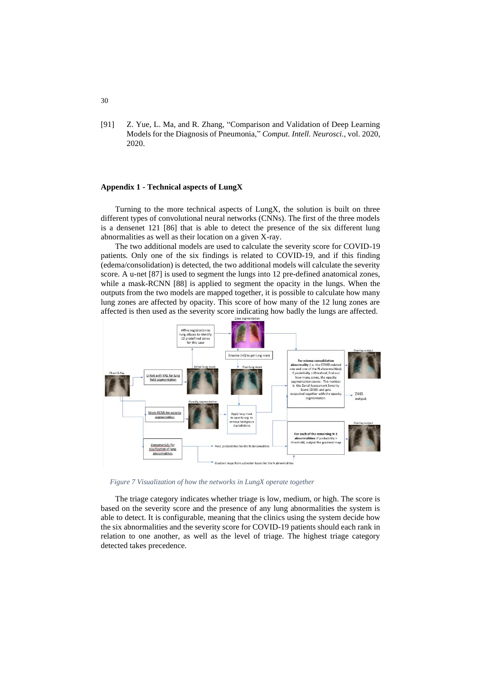[91] Z. Yue, L. Ma, and R. Zhang, "Comparison and Validation of Deep Learning Models for the Diagnosis of Pneumonia," *Comput. Intell. Neurosci.*, vol. 2020, 2020.

### **Appendix 1 - Technical aspects of LungX**

Turning to the more technical aspects of LungX, the solution is built on three different types of convolutional neural networks (CNNs). The first of the three models is a densenet 121 [86] that is able to detect the presence of the six different lung abnormalities as well as their location on a given X-ray.

The two additional models are used to calculate the severity score for COVID-19 patients. Only one of the six findings is related to COVID-19, and if this finding (edema/consolidation) is detected, the two additional models will calculate the severity score. A u-net [87] is used to segment the lungs into 12 pre-defined anatomical zones, while a mask-RCNN [88] is applied to segment the opacity in the lungs. When the outputs from the two models are mapped together, it is possible to calculate how many lung zones are affected by opacity. This score of how many of the 12 lung zones are affected is then used as the severity score indicating how badly the lungs are affected.



*Figure 7 Visualization of how the networks in LungX operate together*

The triage category indicates whether triage is low, medium, or high. The score is based on the severity score and the presence of any lung abnormalities the system is able to detect. It is configurable, meaning that the clinics using the system decide how the six abnormalities and the severity score for COVID-19 patients should each rank in relation to one another, as well as the level of triage. The highest triage category detected takes precedence.

#### 30